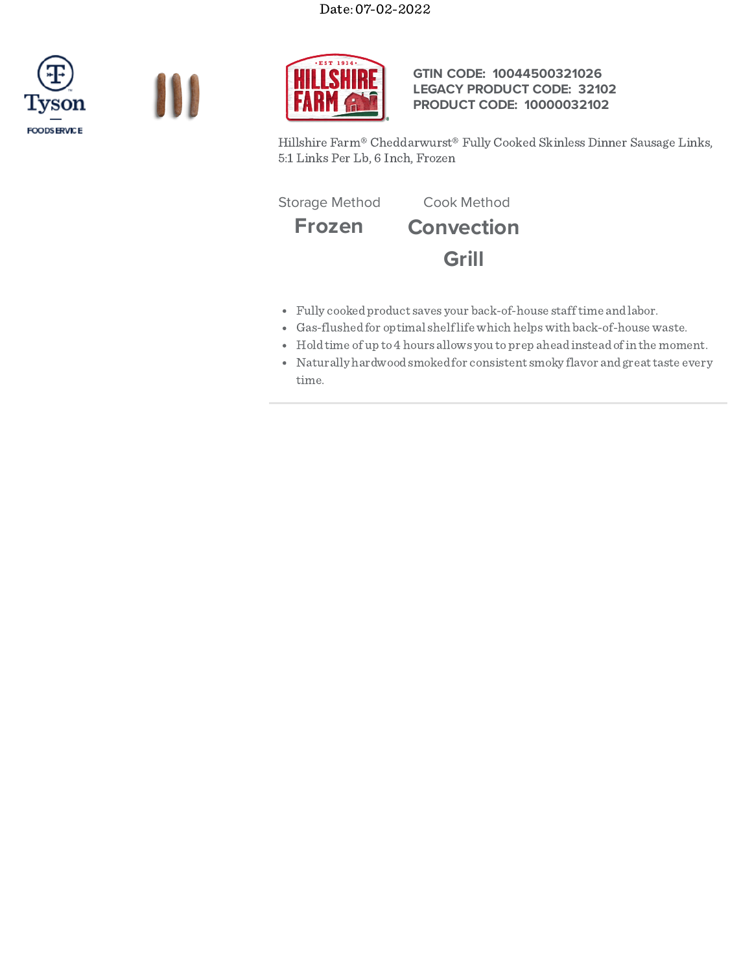





## **GTIN CODE: 10044500321026 LEGACY PRODUCT CODE: 32102 PRODUCT CODE: 10000032102**

Hillshire Farm® Cheddarwurst® Fully Cooked Skinless Dinner Sausage Links, 5:1 Links Per Lb, 6 Inch, Frozen

Storage Method Cook Method

**Frozen Convection Grill**

- Fully cookedproduct saves your back-of-house stafftime andlabor.
- Gas-flushedfor optimal shelflife which helpswith back-of-house waste.
- Holdtime of up to 4 hours allows you to prep ahead instead of in the moment.
- Naturally hardwoodsmokedfor consistent smoky flavor andgreattaste every time.